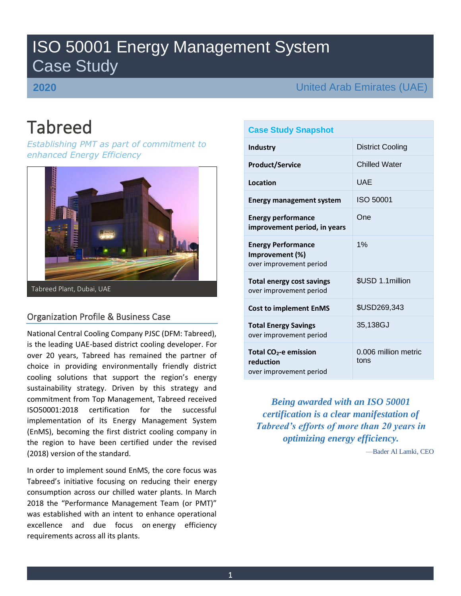# ISO 50001 Energy Management System Case Study

## **2020**

United Arab Emirates (UAE)

# Tabreed

*Establishing PMT as part of commitment to enhanced Energy Efficiency*



Tabreed Plant, Dubai, UAE

## Organization Profile & Business Case

National Central Cooling Company PJSC (DFM: Tabreed), is the leading UAE-based district cooling developer. For over 20 years, Tabreed has remained the partner of choice in providing environmentally friendly district cooling solutions that support the region's energy sustainability strategy. Driven by this strategy and commitment from Top Management, Tabreed received ISO50001:2018 certification for the successful implementation of its Energy Management System (EnMS), becoming the first district cooling company in the region to have been certified under the revised (2018) version of the standard.

In order to implement sound EnMS, the core focus was Tabreed's initiative focusing on reducing their energy consumption across our chilled water plants. In March 2018 the "Performance Management Team (or PMT)" was established with an intent to enhance operational excellence and due focus on energy efficiency requirements across all its plants.

### **Case Study Snapshot**

| Industry                                                                | <b>District Cooling</b>      |
|-------------------------------------------------------------------------|------------------------------|
| <b>Product/Service</b>                                                  | <b>Chilled Water</b>         |
| Location                                                                | UAF                          |
| <b>Energy management system</b>                                         | ISO 50001                    |
| <b>Energy performance</b><br>improvement period, in years               | One                          |
| <b>Energy Performance</b><br>Improvement (%)<br>over improvement period | 1%                           |
| <b>Total energy cost savings</b><br>over improvement period             | \$USD 1.1 million            |
| <b>Cost to implement EnMS</b>                                           | \$USD269,343                 |
| <b>Total Energy Savings</b><br>over improvement period                  | 35,138GJ                     |
| Total $CO2$ -e emission<br>reduction<br>over improvement period         | 0.006 million metric<br>tons |

*Being awarded with an ISO 50001 certification is a clear manifestation of Tabreed's efforts of more than 20 years in optimizing energy efficiency.*

—Bader Al Lamki, CEO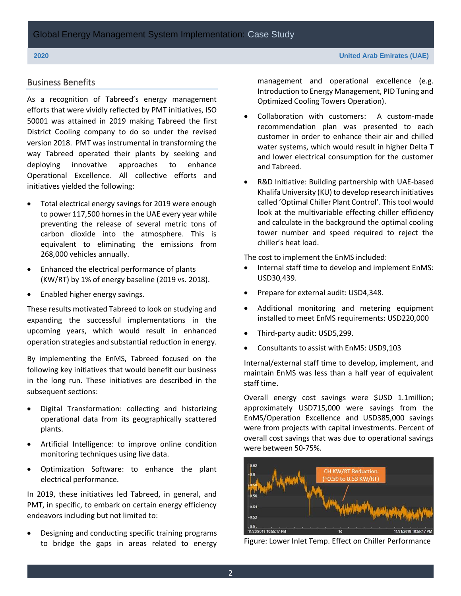### Business Benefits

As a recognition of Tabreed's energy management efforts that were vividly reflected by PMT initiatives, ISO 50001 was attained in 2019 making Tabreed the first District Cooling company to do so under the revised version 2018. PMT was instrumental in transforming the way Tabreed operated their plants by seeking and deploying innovative approaches to enhance Operational Excellence. All collective efforts and initiatives yielded the following:

- Total electrical energy savings for 2019 were enough to power 117,500 homes in the UAE every year while preventing the release of several metric tons of carbon dioxide into the atmosphere. This is equivalent to eliminating the emissions from 268,000 vehicles annually.
- Enhanced the electrical performance of plants (KW/RT) by 1% of energy baseline (2019 vs. 2018).
- Enabled higher energy savings.

These results motivated Tabreed to look on studying and expanding the successful implementations in the upcoming years, which would result in enhanced operation strategies and substantial reduction in energy.

By implementing the EnMS, Tabreed focused on the following key initiatives that would benefit our business in the long run. These initiatives are described in the subsequent sections:

- Digital Transformation: collecting and historizing operational data from its geographically scattered plants.
- Artificial Intelligence: to improve online condition monitoring techniques using live data.
- Optimization Software: to enhance the plant electrical performance.

In 2019, these initiatives led Tabreed, in general, and PMT, in specific, to embark on certain energy efficiency endeavors including but not limited to:

• Designing and conducting specific training programs to bridge the gaps in areas related to energy management and operational excellence (e.g. Introduction to Energy Management, PID Tuning and Optimized Cooling Towers Operation).

- Collaboration with customers: A custom-made recommendation plan was presented to each customer in order to enhance their air and chilled water systems, which would result in higher Delta T and lower electrical consumption for the customer and Tabreed.
- R&D Initiative: Building partnership with UAE-based Khalifa University (KU) to develop research initiatives called 'Optimal Chiller Plant Control'. This tool would look at the multivariable effecting chiller efficiency and calculate in the background the optimal cooling tower number and speed required to reject the chiller's heat load.

The cost to implement the EnMS included:

- Internal staff time to develop and implement EnMS: USD30,439.
- Prepare for external audit: USD4,348.
- Additional monitoring and metering equipment installed to meet EnMS requirements: USD220,000
- Third-party audit: USD5,299.
- Consultants to assist with EnMS: USD9,103

Internal/external staff time to develop, implement, and maintain EnMS was less than a half year of equivalent staff time.

Overall energy cost savings were \$USD 1.1million; approximately USD715,000 were savings from the EnMS/Operation Excellence and USD385,000 savings were from projects with capital investments. Percent of overall cost savings that was due to operational savings were between 50-75%.



Figure: Lower Inlet Temp. Effect on Chiller Performance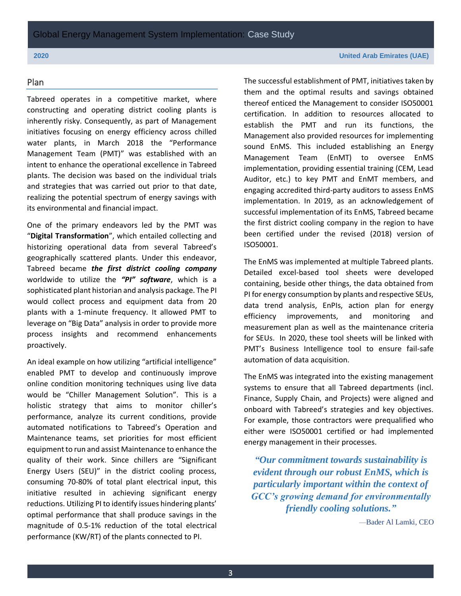# Plan

Tabreed operates in a competitive market, where constructing and operating district cooling plants is inherently risky. Consequently, as part of Management initiatives focusing on energy efficiency across chilled water plants, in March 2018 the "Performance Management Team (PMT)" was established with an intent to enhance the operational excellence in Tabreed plants. The decision was based on the individual trials and strategies that was carried out prior to that date, realizing the potential spectrum of energy savings with its environmental and financial impact.

One of the primary endeavors led by the PMT was "**Digital Transformation**", which entailed collecting and historizing operational data from several Tabreed's geographically scattered plants. Under this endeavor, Tabreed became *the first district cooling company* worldwide to utilize the *"PI" software*, which is a sophisticated plant historian and analysis package. The PI would collect process and equipment data from 20 plants with a 1-minute frequency. It allowed PMT to leverage on "Big Data" analysis in order to provide more process insights and recommend enhancements proactively.

An ideal example on how utilizing "artificial intelligence" enabled PMT to develop and continuously improve online condition monitoring techniques using live data would be "Chiller Management Solution". This is a holistic strategy that aims to monitor chiller's performance, analyze its current conditions, provide automated notifications to Tabreed's Operation and Maintenance teams, set priorities for most efficient equipment to run and assist Maintenance to enhance the quality of their work. Since chillers are "Significant Energy Users (SEU)" in the district cooling process, consuming 70-80% of total plant electrical input, this initiative resulted in achieving significant energy reductions. Utilizing PI to identify issues hindering plants' optimal performance that shall produce savings in the magnitude of 0.5-1% reduction of the total electrical performance (KW/RT) of the plants connected to PI.

The successful establishment of PMT, initiatives taken by them and the optimal results and savings obtained thereof enticed the Management to consider ISO50001 certification. In addition to resources allocated to establish the PMT and run its functions, the Management also provided resources for implementing sound EnMS. This included establishing an Energy Management Team (EnMT) to oversee EnMS implementation, providing essential training (CEM, Lead Auditor, etc.) to key PMT and EnMT members, and engaging accredited third-party auditors to assess EnMS implementation. In 2019, as an acknowledgement of successful implementation of its EnMS, Tabreed became the first district cooling company in the region to have been certified under the revised (2018) version of ISO50001.

The EnMS was implemented at multiple Tabreed plants. Detailed excel-based tool sheets were developed containing, beside other things, the data obtained from PI for energy consumption by plants and respective SEUs, data trend analysis, EnPIs, action plan for energy efficiency improvements, and monitoring and measurement plan as well as the maintenance criteria for SEUs. In 2020, these tool sheets will be linked with PMT's Business Intelligence tool to ensure fail-safe automation of data acquisition.

The EnMS was integrated into the existing management systems to ensure that all Tabreed departments (incl. Finance, Supply Chain, and Projects) were aligned and onboard with Tabreed's strategies and key objectives. For example, those contractors were prequalified who either were ISO50001 certified or had implemented energy management in their processes.

*"Our commitment towards sustainability is evident through our robust EnMS, which is particularly important within the context of GCC's growing demand for environmentally friendly cooling solutions."*

—Bader Al Lamki, CEO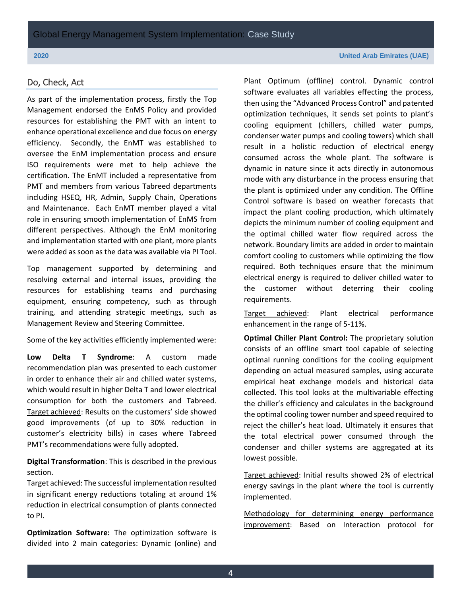### Do, Check, Act

As part of the implementation process, firstly the Top Management endorsed the EnMS Policy and provided resources for establishing the PMT with an intent to enhance operational excellence and due focus on energy efficiency. Secondly, the EnMT was established to oversee the EnM implementation process and ensure ISO requirements were met to help achieve the certification. The EnMT included a representative from PMT and members from various Tabreed departments including HSEQ, HR, Admin, Supply Chain, Operations and Maintenance. Each EnMT member played a vital role in ensuring smooth implementation of EnMS from different perspectives. Although the EnM monitoring and implementation started with one plant, more plants were added as soon as the data was available via PI Tool.

Top management supported by determining and resolving external and internal issues, providing the resources for establishing teams and purchasing equipment, ensuring competency, such as through training, and attending strategic meetings, such as Management Review and Steering Committee.

Some of the key activities efficiently implemented were:

**Low Delta T Syndrome**: A custom made recommendation plan was presented to each customer in order to enhance their air and chilled water systems, which would result in higher Delta T and lower electrical consumption for both the customers and Tabreed. Target achieved: Results on the customers' side showed good improvements (of up to 30% reduction in customer's electricity bills) in cases where Tabreed PMT's recommendations were fully adopted.

**Digital Transformation**: This is described in the previous section.

Target achieved: The successful implementation resulted in significant energy reductions totaling at around 1% reduction in electrical consumption of plants connected to PI.

**Optimization Software:** The optimization software is divided into 2 main categories: Dynamic (online) and Plant Optimum (offline) control. Dynamic control software evaluates all variables effecting the process, then using the "Advanced Process Control" and patented optimization techniques, it sends set points to plant's cooling equipment (chillers, chilled water pumps, condenser water pumps and cooling towers) which shall result in a holistic reduction of electrical energy consumed across the whole plant. The software is dynamic in nature since it acts directly in autonomous mode with any disturbance in the process ensuring that the plant is optimized under any condition. The Offline Control software is based on weather forecasts that impact the plant cooling production, which ultimately depicts the minimum number of cooling equipment and the optimal chilled water flow required across the network. Boundary limits are added in order to maintain comfort cooling to customers while optimizing the flow required. Both techniques ensure that the minimum electrical energy is required to deliver chilled water to the customer without deterring their cooling requirements.

Target achieved: Plant electrical performance enhancement in the range of 5-11%.

**Optimal Chiller Plant Control:** The proprietary solution consists of an offline smart tool capable of selecting optimal running conditions for the cooling equipment depending on actual measured samples, using accurate empirical heat exchange models and historical data collected. This tool looks at the multivariable effecting the chiller's efficiency and calculates in the background the optimal cooling tower number and speed required to reject the chiller's heat load. Ultimately it ensures that the total electrical power consumed through the condenser and chiller systems are aggregated at its lowest possible.

Target achieved: Initial results showed 2% of electrical energy savings in the plant where the tool is currently implemented.

Methodology for determining energy performance improvement: Based on Interaction protocol for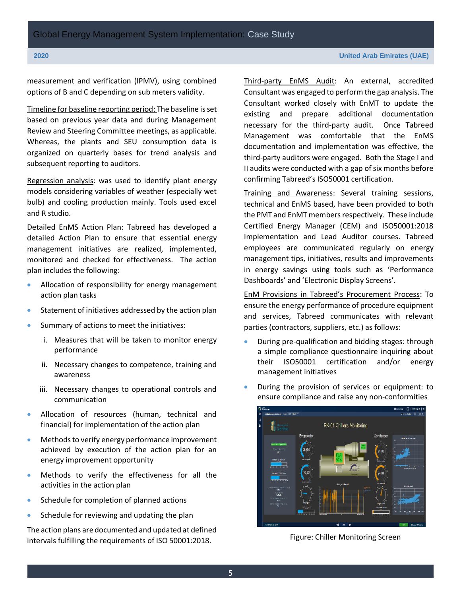measurement and verification (IPMV), using combined options of B and C depending on sub meters validity.

Timeline for baseline reporting period: The baseline is set based on previous year data and during Management Review and Steering Committee meetings, as applicable. Whereas, the plants and SEU consumption data is organized on quarterly bases for trend analysis and subsequent reporting to auditors.

Regression analysis: was used to identify plant energy models considering variables of weather (especially wet bulb) and cooling production mainly. Tools used excel and R studio.

Detailed EnMS Action Plan: Tabreed has developed a detailed Action Plan to ensure that essential energy management initiatives are realized, implemented, monitored and checked for effectiveness. The action plan includes the following:

- Allocation of responsibility for energy management action plan tasks
- Statement of initiatives addressed by the action plan
- Summary of actions to meet the initiatives:
	- i. Measures that will be taken to monitor energy performance
	- ii. Necessary changes to competence, training and awareness
	- iii. Necessary changes to operational controls and communication
- Allocation of resources (human, technical and financial) for implementation of the action plan
- Methods to verify energy performance improvement achieved by execution of the action plan for an energy improvement opportunity
- Methods to verify the effectiveness for all the activities in the action plan
- Schedule for completion of planned actions
- Schedule for reviewing and updating the plan

The action plans are documented and updated at defined intervals fulfilling the requirements of ISO 50001:2018.

Third-party EnMS Audit: An external, accredited Consultant was engaged to perform the gap analysis. The Consultant worked closely with EnMT to update the existing and prepare additional documentation necessary for the third-party audit. Once Tabreed Management was comfortable that the EnMS documentation and implementation was effective, the third-party auditors were engaged. Both the Stage I and II audits were conducted with a gap of six months before confirming Tabreed's ISO50001 certification.

Training and Awareness: Several training sessions, technical and EnMS based, have been provided to both the PMT and EnMT members respectively. These include Certified Energy Manager (CEM) and ISO50001:2018 Implementation and Lead Auditor courses. Tabreed employees are communicated regularly on energy management tips, initiatives, results and improvements in energy savings using tools such as 'Performance Dashboards' and 'Electronic Display Screens'.

EnM Provisions in Tabreed's Procurement Process: To ensure the energy performance of procedure equipment and services, Tabreed communicates with relevant parties (contractors, suppliers, etc.) as follows:

- During pre-qualification and bidding stages: through a simple compliance questionnaire inquiring about their ISO50001 certification and/or energy management initiatives
- During the provision of services or equipment: to ensure compliance and raise any non-conformities



Figure: Chiller Monitoring Screen